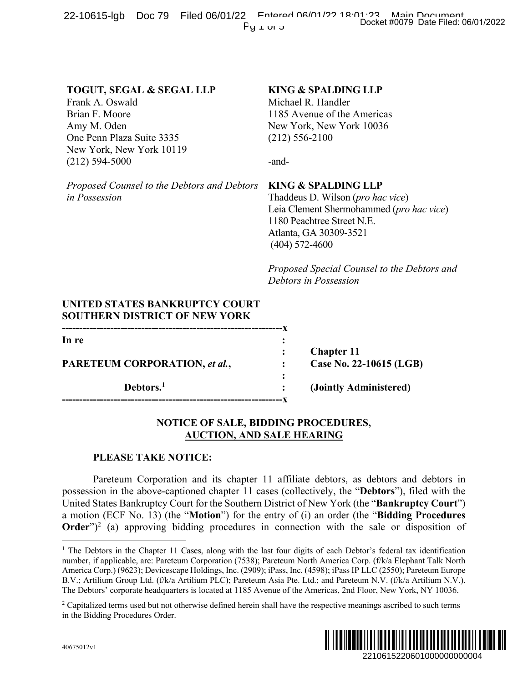22-10615-lgb Doc 79 Filed 06/01/22 Entered 06/01/22 Docket #0079 Date Filed: 06/01/2022  $Fy \perp \cup 3$ 

# **TOGUT, SEGAL & SEGAL LLP**

Frank A. Oswald Brian F. Moore Amy M. Oden One Penn Plaza Suite 3335 New York, New York 10119 (212) 594-5000

## **KING & SPALDING LLP**

Michael R. Handler 1185 Avenue of the Americas New York, New York 10036 (212) 556-2100

-and-

*Proposed Counsel to the Debtors and Debtors in Possession*

### **KING & SPALDING LLP**

Thaddeus D. Wilson (*pro hac vice*) Leia Clement Shermohammed (*pro hac vice*) 1180 Peachtree Street N.E. Atlanta, GA 30309-3521 (404) 572-4600

*Proposed Special Counsel to the Debtors and Debtors in Possession*

# **UNITED STATES BANKRUPTCY COURT SOUTHERN DISTRICT OF NEW YORK**

**----------------------------------------------------------------x In re : PARETEUM CORPORATION,** *et al.***, : Case No. 22-10615 (LGB) :**

**----------------------------------------------------------------x**

**: Chapter 11**

**Debtors.1 : (Jointly Administered)** 

## **NOTICE OF SALE, BIDDING PROCEDURES, AUCTION, AND SALE HEARING**

## **PLEASE TAKE NOTICE:**

Pareteum Corporation and its chapter 11 affiliate debtors, as debtors and debtors in possession in the above-captioned chapter 11 cases (collectively, the "**Debtors**"), filed with the United States Bankruptcy Court for the Southern District of New York (the "**Bankruptcy Court**") a motion (ECF No. 13) (the "**Motion**") for the entry of (i) an order (the "**Bidding Procedures Order**")<sup>2</sup> (a) approving bidding procedures in connection with the sale or disposition of 2210615220601000000000004 Docket #0079 Date Filed: 06/01/2022

<sup>&</sup>lt;sup>2</sup> Capitalized terms used but not otherwise defined herein shall have the respective meanings ascribed to such terms in the Bidding Procedures Order.



<sup>&</sup>lt;sup>1</sup> The Debtors in the Chapter 11 Cases, along with the last four digits of each Debtor's federal tax identification number, if applicable, are: Pareteum Corporation (7538); Pareteum North America Corp. (f/k/a Elephant Talk North America Corp.) (9623); Devicescape Holdings, Inc. (2909); iPass, Inc. (4598); iPass IP LLC (2550); Pareteum Europe B.V.; Artilium Group Ltd. (f/k/a Artilium PLC); Pareteum Asia Pte. Ltd.; and Pareteum N.V. (f/k/a Artilium N.V.). The Debtors' corporate headquarters is located at 1185 Avenue of the Americas, 2nd Floor, New York, NY 10036.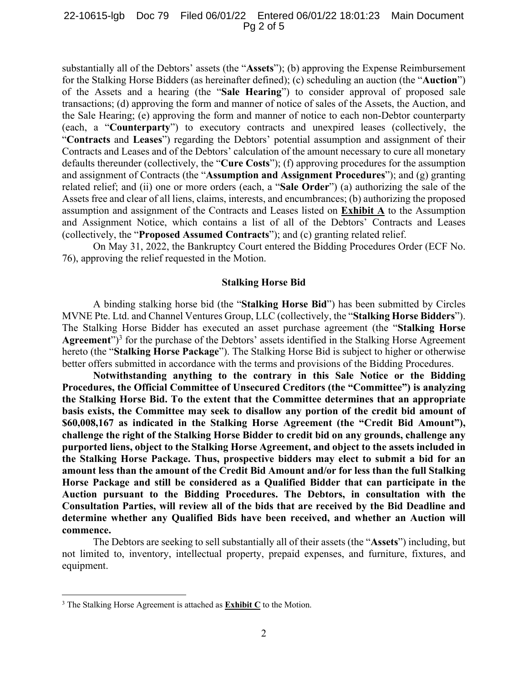#### 22-10615-lgb Doc 79 Filed 06/01/22 Entered 06/01/22 18:01:23 Main Document Pg 2 of 5

substantially all of the Debtors' assets (the "**Assets**"); (b) approving the Expense Reimbursement for the Stalking Horse Bidders (as hereinafter defined); (c) scheduling an auction (the "**Auction**") of the Assets and a hearing (the "**Sale Hearing**") to consider approval of proposed sale transactions; (d) approving the form and manner of notice of sales of the Assets, the Auction, and the Sale Hearing; (e) approving the form and manner of notice to each non-Debtor counterparty (each, a "**Counterparty**") to executory contracts and unexpired leases (collectively, the "**Contracts** and **Leases**") regarding the Debtors' potential assumption and assignment of their Contracts and Leases and of the Debtors' calculation of the amount necessary to cure all monetary defaults thereunder (collectively, the "**Cure Costs**"); (f) approving procedures for the assumption and assignment of Contracts (the "**Assumption and Assignment Procedures**"); and (g) granting related relief; and (ii) one or more orders (each, a "**Sale Order**") (a) authorizing the sale of the Assets free and clear of all liens, claims, interests, and encumbrances; (b) authorizing the proposed assumption and assignment of the Contracts and Leases listed on **Exhibit A** to the Assumption and Assignment Notice, which contains a list of all of the Debtors' Contracts and Leases (collectively, the "**Proposed Assumed Contracts**"); and (c) granting related relief.

On May 31, 2022, the Bankruptcy Court entered the Bidding Procedures Order (ECF No. 76), approving the relief requested in the Motion.

#### **Stalking Horse Bid**

A binding stalking horse bid (the "**Stalking Horse Bid**") has been submitted by Circles MVNE Pte. Ltd. and Channel Ventures Group, LLC (collectively, the "**Stalking Horse Bidders**"). The Stalking Horse Bidder has executed an asset purchase agreement (the "**Stalking Horse Agreement**")3 for the purchase of the Debtors' assets identified in the Stalking Horse Agreement hereto (the "**Stalking Horse Package**"). The Stalking Horse Bid is subject to higher or otherwise better offers submitted in accordance with the terms and provisions of the Bidding Procedures.

**Notwithstanding anything to the contrary in this Sale Notice or the Bidding Procedures, the Official Committee of Unsecured Creditors (the "Committee") is analyzing the Stalking Horse Bid. To the extent that the Committee determines that an appropriate basis exists, the Committee may seek to disallow any portion of the credit bid amount of \$60,008,167 as indicated in the Stalking Horse Agreement (the "Credit Bid Amount"), challenge the right of the Stalking Horse Bidder to credit bid on any grounds, challenge any purported liens, object to the Stalking Horse Agreement, and object to the assets included in the Stalking Horse Package. Thus, prospective bidders may elect to submit a bid for an amount less than the amount of the Credit Bid Amount and/or for less than the full Stalking Horse Package and still be considered as a Qualified Bidder that can participate in the Auction pursuant to the Bidding Procedures. The Debtors, in consultation with the Consultation Parties, will review all of the bids that are received by the Bid Deadline and determine whether any Qualified Bids have been received, and whether an Auction will commence.** 

The Debtors are seeking to sell substantially all of their assets (the "**Assets**") including, but not limited to, inventory, intellectual property, prepaid expenses, and furniture, fixtures, and equipment.

<sup>3</sup> The Stalking Horse Agreement is attached as **Exhibit C** to the Motion.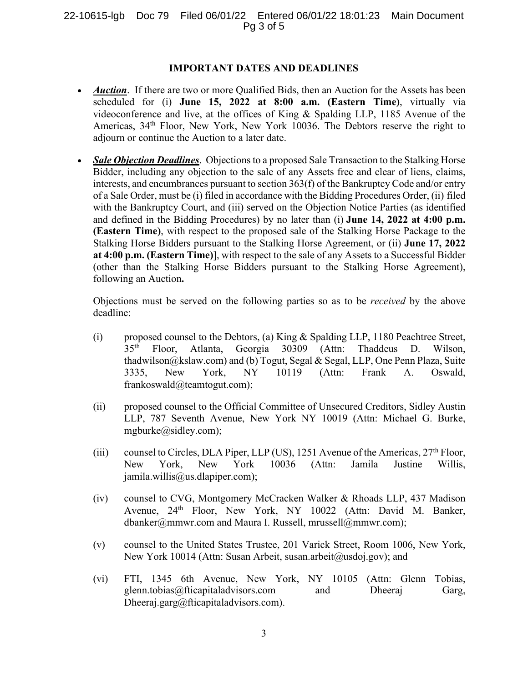### 22-10615-lgb Doc 79 Filed 06/01/22 Entered 06/01/22 18:01:23 Main Document Pg 3 of 5

#### **IMPORTANT DATES AND DEADLINES**

- *Auction*. If there are two or more Qualified Bids, then an Auction for the Assets has been scheduled for (i) **June 15, 2022 at 8:00 a.m. (Eastern Time)**, virtually via videoconference and live, at the offices of King & Spalding LLP, 1185 Avenue of the Americas, 34<sup>th</sup> Floor, New York, New York 10036. The Debtors reserve the right to adjourn or continue the Auction to a later date.
- *Sale Objection Deadlines*. Objections to a proposed Sale Transaction to the Stalking Horse Bidder, including any objection to the sale of any Assets free and clear of liens, claims, interests, and encumbrances pursuant to section 363(f) of the Bankruptcy Code and/or entry of a Sale Order, must be (i) filed in accordance with the Bidding Procedures Order, (ii) filed with the Bankruptcy Court, and (iii) served on the Objection Notice Parties (as identified and defined in the Bidding Procedures) by no later than (i) **June 14, 2022 at 4:00 p.m. (Eastern Time)**, with respect to the proposed sale of the Stalking Horse Package to the Stalking Horse Bidders pursuant to the Stalking Horse Agreement, or (ii) **June 17, 2022 at 4:00 p.m. (Eastern Time)**], with respect to the sale of any Assets to a Successful Bidder (other than the Stalking Horse Bidders pursuant to the Stalking Horse Agreement), following an Auction**.**

Objections must be served on the following parties so as to be *received* by the above deadline:

- (i) proposed counsel to the Debtors, (a) King & Spalding LLP, 1180 Peachtree Street, 35th Floor, Atlanta, Georgia 30309 (Attn: Thaddeus D. Wilson, thadwilson@kslaw.com) and (b) Togut, Segal & Segal, LLP, One Penn Plaza, Suite 3335, New York, NY 10119 (Attn: Frank A. Oswald, frankoswald@teamtogut.com);
- (ii) proposed counsel to the Official Committee of Unsecured Creditors, Sidley Austin LLP, 787 Seventh Avenue, New York NY 10019 (Attn: Michael G. Burke, mgburke@sidley.com);
- (iii) counsel to Circles, DLA Piper, LLP (US), 1251 Avenue of the Americas,  $27<sup>th</sup>$  Floor, New York, New York 10036 (Attn: Jamila Justine Willis, jamila.willis@us.dlapiper.com);
- (iv) counsel to CVG, Montgomery McCracken Walker & Rhoads LLP, 437 Madison Avenue, 24<sup>th</sup> Floor, New York, NY 10022 (Attn: David M. Banker, dbanker@mmwr.com and Maura I. Russell, mrussell@mmwr.com);
- (v) counsel to the United States Trustee, 201 Varick Street, Room 1006, New York, New York 10014 (Attn: Susan Arbeit, susan.arbeit@usdoj.gov); and
- (vi) FTI, 1345 6th Avenue, New York, NY 10105 (Attn: Glenn Tobias, glenn.tobias@fticapitaladvisors.com and Dheeraj Garg, Dheeraj.garg@fticapitaladvisors.com).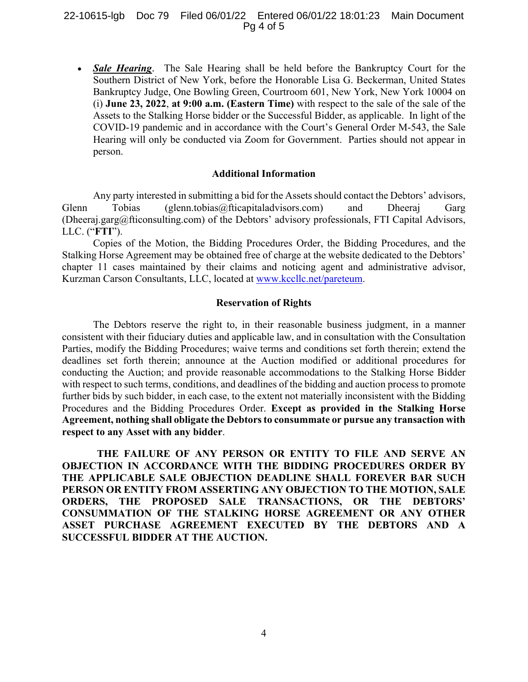#### 22-10615-lgb Doc 79 Filed 06/01/22 Entered 06/01/22 18:01:23 Main Document Pg 4 of 5

• *Sale Hearing*. The Sale Hearing shall be held before the Bankruptcy Court for the Southern District of New York, before the Honorable Lisa G. Beckerman, United States Bankruptcy Judge, One Bowling Green, Courtroom 601, New York, New York 10004 on (i) **June 23, 2022**, **at 9:00 a.m. (Eastern Time)** with respect to the sale of the sale of the Assets to the Stalking Horse bidder or the Successful Bidder, as applicable. In light of the COVID-19 pandemic and in accordance with the Court's General Order M-543, the Sale Hearing will only be conducted via Zoom for Government. Parties should not appear in person.

#### **Additional Information**

Any party interested in submitting a bid for the Assets should contact the Debtors' advisors, Glenn Tobias (glenn.tobias@fticapitaladvisors.com) and Dheeraj Garg (Dheeraj.garg@fticonsulting.com) of the Debtors' advisory professionals, FTI Capital Advisors, LLC. ("**FTI**").

Copies of the Motion, the Bidding Procedures Order, the Bidding Procedures, and the Stalking Horse Agreement may be obtained free of charge at the website dedicated to the Debtors' chapter 11 cases maintained by their claims and noticing agent and administrative advisor, Kurzman Carson Consultants, LLC, located at www.kccllc.net/pareteum.

## **Reservation of Rights**

The Debtors reserve the right to, in their reasonable business judgment, in a manner consistent with their fiduciary duties and applicable law, and in consultation with the Consultation Parties, modify the Bidding Procedures; waive terms and conditions set forth therein; extend the deadlines set forth therein; announce at the Auction modified or additional procedures for conducting the Auction; and provide reasonable accommodations to the Stalking Horse Bidder with respect to such terms, conditions, and deadlines of the bidding and auction process to promote further bids by such bidder, in each case, to the extent not materially inconsistent with the Bidding Procedures and the Bidding Procedures Order. **Except as provided in the Stalking Horse Agreement, nothing shall obligate the Debtors to consummate or pursue any transaction with respect to any Asset with any bidder**.

**THE FAILURE OF ANY PERSON OR ENTITY TO FILE AND SERVE AN OBJECTION IN ACCORDANCE WITH THE BIDDING PROCEDURES ORDER BY THE APPLICABLE SALE OBJECTION DEADLINE SHALL FOREVER BAR SUCH PERSON OR ENTITY FROM ASSERTING ANY OBJECTION TO THE MOTION, SALE ORDERS, THE PROPOSED SALE TRANSACTIONS, OR THE DEBTORS' CONSUMMATION OF THE STALKING HORSE AGREEMENT OR ANY OTHER ASSET PURCHASE AGREEMENT EXECUTED BY THE DEBTORS AND A SUCCESSFUL BIDDER AT THE AUCTION.**